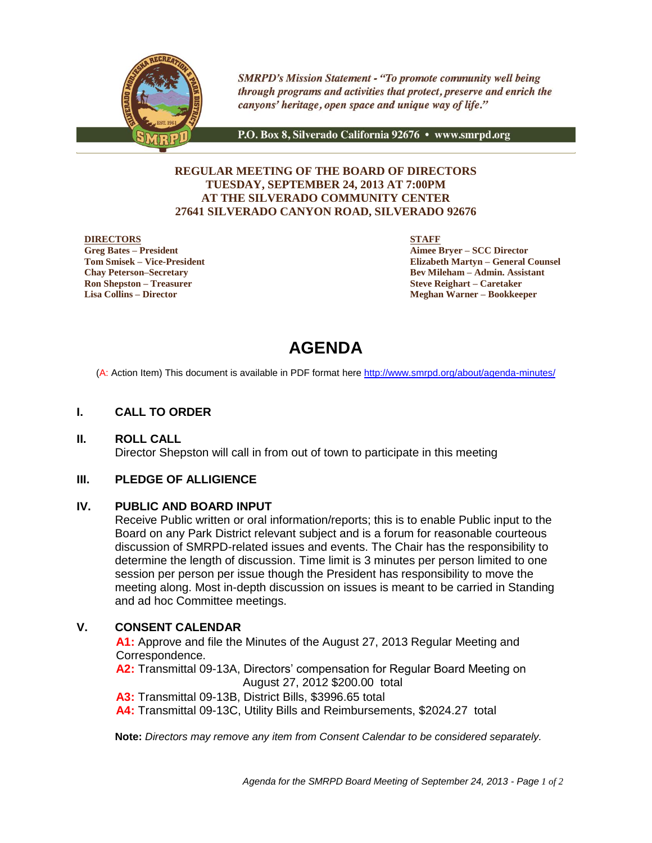

**SMRPD's Mission Statement - "To promote community well being** through programs and activities that protect, preserve and enrich the canyons' heritage, open space and unique way of life."

P.O. Box 8, Silverado California 92676 • www.smrpd.org

## **REGULAR MEETING OF THE BOARD OF DIRECTORS TUESDAY, SEPTEMBER 24, 2013 AT 7:00PM AT THE SILVERADO COMMUNITY CENTER 27641 SILVERADO CANYON ROAD, SILVERADO 92676**

#### **DIRECTORS**

**Greg Bates – President Tom Smisek – Vice-President Chay Peterson–Secretary Ron Shepston – Treasurer Lisa Collins – Director**

**STAFF**

**Aimee Bryer – SCC Director Elizabeth Martyn – General Counsel Bev Mileham – Admin. Assistant Steve Reighart – Caretaker Meghan Warner – Bookkeeper**

# **AGENDA**

(A: Action Item) This document is available in PDF format here <http://www.smrpd.org/>about/agenda-minutes/

# **I. CALL TO ORDER**

**II. ROLL CALL** Director Shepston will call in from out of town to participate in this meeting

### **III. PLEDGE OF ALLIGIENCE**

### **IV. PUBLIC AND BOARD INPUT**

Receive Public written or oral information/reports; this is to enable Public input to the Board on any Park District relevant subject and is a forum for reasonable courteous discussion of SMRPD-related issues and events. The Chair has the responsibility to determine the length of discussion. Time limit is 3 minutes per person limited to one session per person per issue though the President has responsibility to move the meeting along. Most in-depth discussion on issues is meant to be carried in Standing and ad hoc Committee meetings.

# **V. CONSENT CALENDAR**

**A1:** Approve and file the Minutes of the August 27, 2013 Regular Meeting and Correspondence.

**A2:** Transmittal 09-13A, Directors' compensation for Regular Board Meeting on August 27, 2012 \$200.00 total

**A3:** Transmittal 09-13B, District Bills, \$3996.65 total

**A4:** Transmittal 09-13C, Utility Bills and Reimbursements, \$2024.27 total

**Note:** *Directors may remove any item from Consent Calendar to be considered separately.*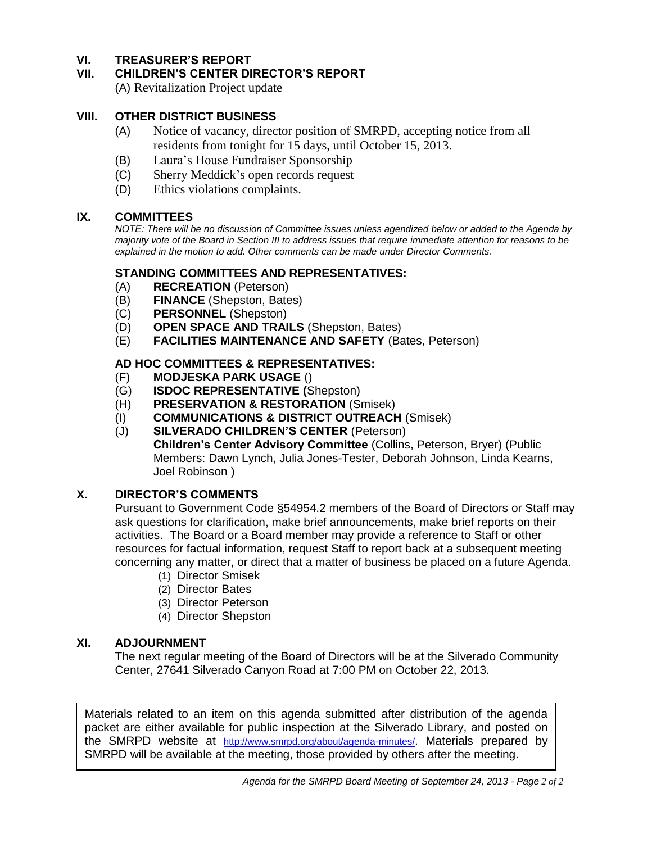# **VI. TREASURER'S REPORT**

# **VII. CHILDREN'S CENTER DIRECTOR'S REPORT**

(A) Revitalization Project update

# **VIII. OTHER DISTRICT BUSINESS**

- (A) Notice of vacancy, director position of SMRPD, accepting notice from all residents from tonight for 15 days, until October 15, 2013.
- (B) Laura's House Fundraiser Sponsorship
- (C) Sherry Meddick's open records request
- (D) Ethics violations complaints.

# **IX. COMMITTEES**

*NOTE: There will be no discussion of Committee issues unless agendized below or added to the Agenda by majority vote of the Board in Section III to address issues that require immediate attention for reasons to be explained in the motion to add. Other comments can be made under Director Comments.*

# **STANDING COMMITTEES AND REPRESENTATIVES:**

- (A) **RECREATION** (Peterson)
- (B) **FINANCE** (Shepston, Bates)
- (C) **PERSONNEL** (Shepston)
- (D) **OPEN SPACE AND TRAILS** (Shepston, Bates)
- (E) **FACILITIES MAINTENANCE AND SAFETY** (Bates, Peterson)

# **AD HOC COMMITTEES & REPRESENTATIVES:**

- (F) **MODJESKA PARK USAGE** ()
- (G) **ISDOC REPRESENTATIVE (**Shepston)
- (H) **PRESERVATION & RESTORATION** (Smisek)
- (I) **COMMUNICATIONS & DISTRICT OUTREACH** (Smisek)
- (J) **SILVERADO CHILDREN'S CENTER** (Peterson) **Children's Center Advisory Committee** (Collins, Peterson, Bryer) (Public Members: Dawn Lynch, Julia Jones-Tester, Deborah Johnson, Linda Kearns, Joel Robinson )

# **X. DIRECTOR'S COMMENTS**

Pursuant to Government Code §54954.2 members of the Board of Directors or Staff may ask questions for clarification, make brief announcements, make brief reports on their activities. The Board or a Board member may provide a reference to Staff or other resources for factual information, request Staff to report back at a subsequent meeting concerning any matter, or direct that a matter of business be placed on a future Agenda.

- (1) Director Smisek
- (2) Director Bates
- (3) Director Peterson
- (4) Director Shepston

### **XI. ADJOURNMENT**

The next regular meeting of the Board of Directors will be at the Silverado Community Center, 27641 Silverado Canyon Road at 7:00 PM on October 22, 2013.

Materials related to an item on this agenda submitted after distribution of the agenda packet are either available for public inspection at the Silverado Library, and posted on the SMRPD website at <http://www.smrpd.org/>about/agenda-minutes/. Materials prepared by SMRPD will be available at the meeting, those provided by others after the meeting.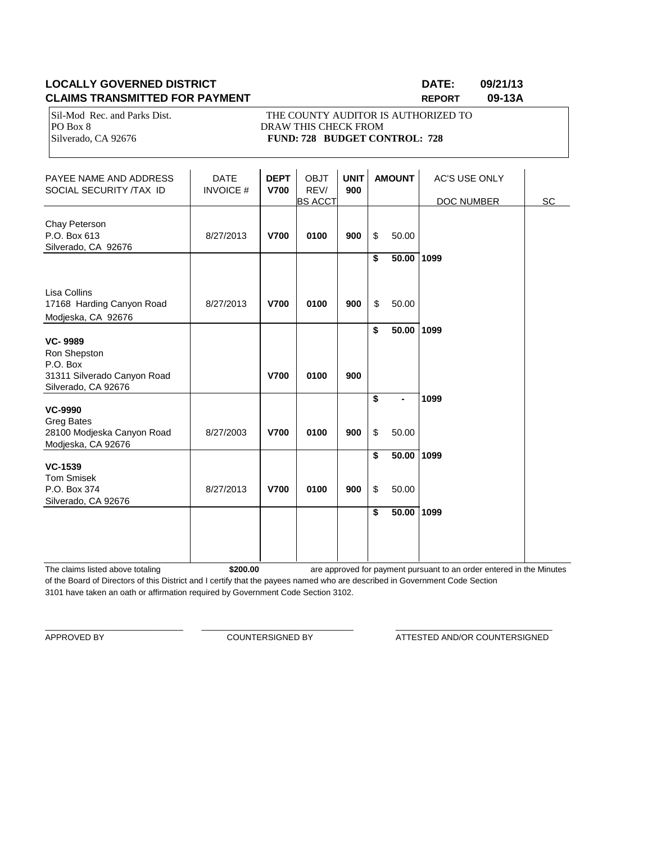# **LOCALLY GOVERNED DISTRICT DATE: 09/21/13 CLAIMS TRANSMITTED FOR PAYMENT REPORT 09-13A**

PO Box 8 DRAW THIS CHECK FROM

Sil-Mod Rec. and Parks Dist. THE COUNTY AUDITOR IS AUTHORIZED TO Silverado, CA 92676 **FUND: 728 BUDGET CONTROL: 728** 

PAYEE NAME AND ADDRESS  $\begin{vmatrix} \n\end{vmatrix}$  DATE  $\begin{vmatrix} \n\end{vmatrix}$  **DEPT**  $\begin{vmatrix} \n\end{vmatrix}$  OBJT  $\begin{vmatrix} \n\end{vmatrix}$  **AMOUNT**  $\begin{vmatrix} \n\end{vmatrix}$  AC'S USE ONLY SOCIAL SECURITY (TAX ID SOCIAL SECURITY /TAX ID BS ACCT | DOC NUMBER SC Chay Peterson P.O. Box 613 8/27/2013 **V700 0100 900** \$ 50.00 Silverado, CA 92676 **\$ 50.00 1099** Lisa Collins 17168 Harding Canyon Road 8/27/2013 **V700 0100 900** \$ 50.00 Modjeska, CA 92676 **\$ 50.00 1099 VC- 9989** Ron Shepston P.O. Box 31311 Silverado Canyon Road **V700 0100 900** Silverado, CA 92676 **\$ - 1099 VC-9990** Greg Bates 28100 Modjeska Canyon Road 8/27/2003 **V700 0100 900** \$ 50.00 Modjeska, CA 92676 **\$ 50.00 1099 VC-1539** Tom Smisek P.O. Box 374 8/27/2013 **V700 0100 900** \$ 50.00 Silverado, CA 92676 **\$ 50.00 1099**

The claims listed above totaling **\$200.00** of the Board of Directors of this District and I certify that the payees named who are described in Government Code Section 3101 have taken an oath or affirmation required by Government Code Section 3102. are approved for payment pursuant to an order entered in the Minutes

\_\_\_\_\_\_\_\_\_\_\_\_\_\_\_\_\_\_\_\_\_\_\_\_\_\_\_\_\_\_ \_\_\_\_\_\_\_\_\_\_\_\_\_\_\_\_\_\_\_\_\_\_\_\_\_\_\_\_\_\_\_\_\_ \_\_\_\_\_\_\_\_\_\_\_\_\_\_\_\_\_\_\_\_\_\_\_\_\_\_\_\_\_\_\_\_\_\_

APPROVED BY **COUNTERSIGNED BY** ATTESTED AND/OR COUNTERSIGNED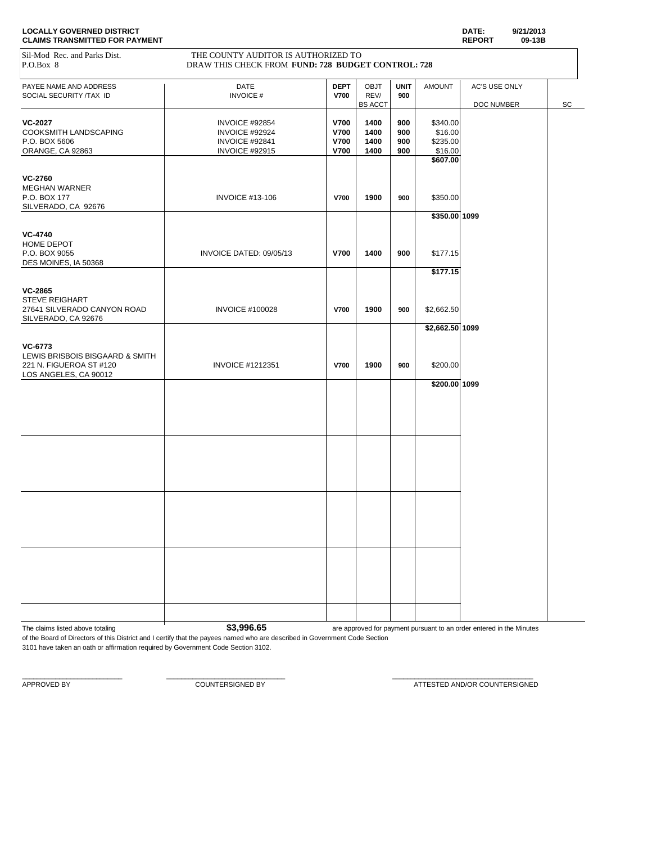| <b>LOCALLY GOVERNED DISTRICT</b>      | DATE:         | 9/21/2013 |
|---------------------------------------|---------------|-----------|
| <b>CLAIMS TRANSMITTED FOR PAYMENT</b> | <b>REPORT</b> | 09-13B    |

PAYEE NAME AND ADDRESS **DATE** DATE **DEPT** OBJT **UNIT** AMOUNT AC'S USE ONLY **DEPT** OBJT **UNIT** AMOUNT AC'S USE ONLY **DATE DEPT DEPT DEPT DEPT DEPT DEPT DEPT DEPT DEPT DEPT DEPT DEPT DEPT DEPT D** SOCIAL SECURITY /TAX ID **INVOICE # V700** REV/ 900 DOC NUMBER SC **VC-2027 VC-2027 INVOICE #92854 V700 1400 900** \$340.00<br>COOKSMITH LANDSCAPING **INVOICE #92924 V700 1400 900** \$16.00 COOKSMITH LANDSCAPING INVOICE #92924 **V700 1400 900** \$16.00 P.O. BOX 5606 INVOICE #92841 **V700 1400 900** \$235.00 ORANGE, CA 92863 INVOICE #92915 **V700 1400 900** \$16.00 **\$607.00 VC-2760** MEGHAN WARNER P.O. BOX 177 INVOICE #13-106 **V700 1900 900** \$350.00 SILVERADO, CA 92676 **\$350.00 1099 VC-4740** HOME DEPOT P.O. BOX 9055 INVOICE DATED: 09/05/13 **V700 1400 900** \$177.15 DES MOINES, IA 50368 **\$177.15 VC-2865** STEVE REIGHART 27641 SILVERADO CANYON ROAD INVOICE #100028 **V700 1900 900** \$2,662.50 SILVERADO, CA 92676 **\$2,662.50 1099 VC-6773** LEWIS BRISBOIS BISGAARD & SMITH 221 N. FIGUEROA ST #120 INVOICE #1212351 **V700 1900 900** \$200.00 LOS ANGELES, CA 90012 **\$200.00 1099** Sil-Mod Rec. and Parks Dist. THE COUNTY AUDITOR IS AUTHORIZED TO P.O.Box 8 DRAW THIS CHECK FROM **FUND: 728 BUDGET CONTROL: 728** 

The claims listed above totaling **by a structure of the S3,996.65 3.996.65** are approved for payment pursuant to an order entered in the Minutes

of the Board of Directors of this District and I certify that the payees named who are described in Government Code Section 3101 have taken an oath or affirmation required by Government Code Section 3102.

 $\_$  , and the set of the set of the set of the set of the set of the set of the set of the set of the set of the set of the set of the set of the set of the set of the set of the set of the set of the set of the set of th

APPROVED BY **ALCOMOT BY A COUNTERSIGNED** BY **ATTESTED AND/OR COUNTERSIGNED**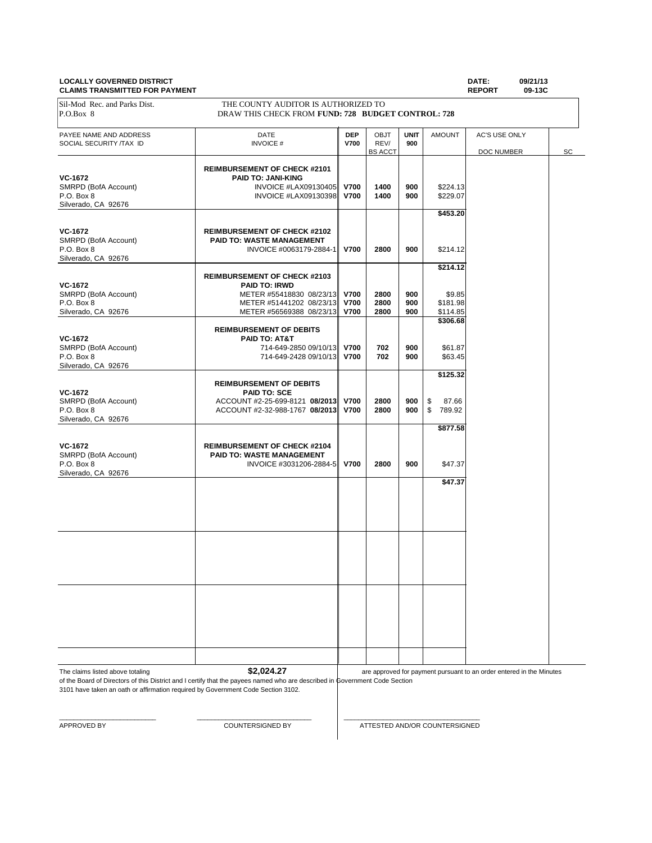#### **LOCALLY GOVERNED DISTRICT DATE: 09/21/13 CLAIMS TRANSMITTED FOR PAYMENT**

| Sil-Mod Rec. and Parks Dist.<br>P.O.Box 8 | THE COUNTY AUDITOR IS AUTHORIZED TO                              |                            |                |             |                      |               |    |
|-------------------------------------------|------------------------------------------------------------------|----------------------------|----------------|-------------|----------------------|---------------|----|
|                                           | DRAW THIS CHECK FROM FUND: 728 BUDGET CONTROL: 728               |                            |                |             |                      |               |    |
| PAYEE NAME AND ADDRESS                    | <b>DATE</b>                                                      | <b>DEP</b>                 | <b>OBJT</b>    | <b>UNIT</b> | <b>AMOUNT</b>        | AC'S USE ONLY |    |
| SOCIAL SECURITY /TAX ID                   | <b>INVOICE#</b>                                                  | V700                       | REV/           | 900         |                      |               |    |
|                                           |                                                                  |                            | <b>BS ACCT</b> |             |                      | DOC NUMBER    | SC |
|                                           | <b>REIMBURSEMENT OF CHECK #2101</b>                              |                            |                |             |                      |               |    |
| VC-1672                                   | <b>PAID TO: JANI-KING</b>                                        |                            |                |             |                      |               |    |
| SMRPD (BofA Account)<br>P.O. Box 8        | INVOICE #LAX09130405<br>INVOICE #LAX09130398                     | <b>V700</b><br><b>V700</b> | 1400<br>1400   | 900<br>900  | \$224.13<br>\$229.07 |               |    |
| Silverado, CA 92676                       |                                                                  |                            |                |             |                      |               |    |
|                                           |                                                                  |                            |                |             | \$453.20             |               |    |
| VC-1672                                   | <b>REIMBURSEMENT OF CHECK #2102</b>                              |                            |                |             |                      |               |    |
| SMRPD (BofA Account)                      | PAID TO: WASTE MANAGEMENT                                        |                            |                |             |                      |               |    |
| P.O. Box 8                                | INVOICE #0063179-2884-1                                          | <b>V700</b>                | 2800           | 900         | \$214.12             |               |    |
| Silverado, CA 92676                       |                                                                  |                            |                |             |                      |               |    |
|                                           | <b>REIMBURSEMENT OF CHECK #2103</b>                              |                            |                |             | \$214.12             |               |    |
| <b>VC-1672</b>                            | <b>PAID TO: IRWD</b>                                             |                            |                |             |                      |               |    |
| SMRPD (BofA Account)                      | METER #55418830 08/23/13                                         | <b>V700</b>                | 2800           | 900         | \$9.85               |               |    |
| P.O. Box 8                                | METER #51441202 08/23/13                                         | <b>V700</b>                | 2800           | 900         | \$181.98             |               |    |
| Silverado, CA 92676                       | METER #56569388 08/23/13                                         | <b>V700</b>                | 2800           | 900         | \$114.85             |               |    |
|                                           | <b>REIMBURSEMENT OF DEBITS</b>                                   |                            |                |             | \$306.68             |               |    |
| <b>VC-1672</b>                            | PAID TO: AT&T                                                    |                            |                |             |                      |               |    |
| SMRPD (BofA Account)                      | 714-649-2850 09/10/13                                            | <b>V700</b>                | 702            | 900         | \$61.87              |               |    |
| P.O. Box 8                                | 714-649-2428 09/10/13                                            | <b>V700</b>                | 702            | 900         | \$63.45              |               |    |
| Silverado, CA 92676                       |                                                                  |                            |                |             | \$125.32             |               |    |
|                                           | <b>REIMBURSEMENT OF DEBITS</b>                                   |                            |                |             |                      |               |    |
| <b>VC-1672</b>                            | <b>PAID TO: SCE</b>                                              |                            |                |             |                      |               |    |
| SMRPD (BofA Account)<br>P.O. Box 8        | ACCOUNT #2-25-699-8121 08/2013<br>ACCOUNT #2-32-988-1767 08/2013 | <b>V700</b>                | 2800           | 900         | \$<br>87.66          |               |    |
| Silverado, CA 92676                       |                                                                  | <b>V700</b>                | 2800           | 900         | \$<br>789.92         |               |    |
|                                           |                                                                  |                            |                |             | \$877.58             |               |    |
|                                           |                                                                  |                            |                |             |                      |               |    |
| VC-1672<br>SMRPD (BofA Account)           | <b>REIMBURSEMENT OF CHECK #2104</b><br>PAID TO: WASTE MANAGEMENT |                            |                |             |                      |               |    |
| P.O. Box 8                                | INVOICE #3031206-2884-5                                          | <b>V700</b>                | 2800           | 900         | \$47.37              |               |    |
| Silverado, CA 92676                       |                                                                  |                            |                |             |                      |               |    |
|                                           |                                                                  |                            |                |             | \$47.37              |               |    |
|                                           |                                                                  |                            |                |             |                      |               |    |
|                                           |                                                                  |                            |                |             |                      |               |    |
|                                           |                                                                  |                            |                |             |                      |               |    |
|                                           |                                                                  |                            |                |             |                      |               |    |
|                                           |                                                                  |                            |                |             |                      |               |    |
|                                           |                                                                  |                            |                |             |                      |               |    |
|                                           |                                                                  |                            |                |             |                      |               |    |
|                                           |                                                                  |                            |                |             |                      |               |    |
|                                           |                                                                  |                            |                |             |                      |               |    |
|                                           |                                                                  |                            |                |             |                      |               |    |
|                                           |                                                                  |                            |                |             |                      |               |    |
|                                           |                                                                  |                            |                |             |                      |               |    |
|                                           |                                                                  |                            |                |             |                      |               |    |
|                                           |                                                                  |                            |                |             |                      |               |    |
|                                           |                                                                  |                            |                |             |                      |               |    |

The claims listed above totaling **\$2,024.27** 

are approved for payment pursuant to an order entered in the Minutes

of the Board of Directors of this District and I certify that the payees named who are described in Government Code Section 3101 have taken an oath or affirmation required by Government Code Section 3102.

 $\_$  , and the set of the set of the set of the set of the set of the set of the set of the set of the set of the set of the set of the set of the set of the set of the set of the set of the set of the set of the set of th

APPROVED BY COUNTERSIGNED BY COUNTERSIGNED BY ATTESTED AND/OR COUNTERSIGNED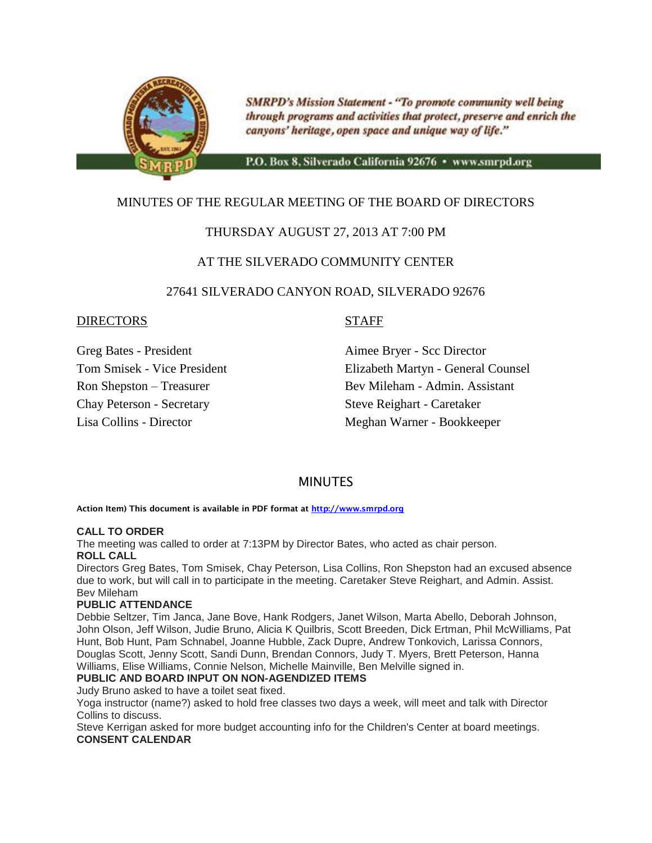

**SMRPD's Mission Statement - "To promote community well being** through programs and activities that protect, preserve and enrich the canyons' heritage, open space and unique way of life."

P.O. Box 8, Silverado California 92676 · www.smrpd.org

# MINUTES OF THE REGULAR MEETING OF THE BOARD OF DIRECTORS

# THURSDAY AUGUST 27, 2013 AT 7:00 PM

# AT THE SILVERADO COMMUNITY CENTER

# 27641 SILVERADO CANYON ROAD, SILVERADO 92676

# DIRECTORS STAFF

Chay Peterson - Secretary Steve Reighart - Caretaker

Greg Bates - President Aimee Bryer - Scc Director Tom Smisek - Vice President Elizabeth Martyn - General Counsel Ron Shepston – Treasurer Bev Mileham - Admin. Assistant Lisa Collins - Director Meghan Warner - Bookkeeper

# **MINUTES**

**Action Item) This document is available in PDF format at [http://www.smrpd.org](http://www.smrpd.org/)**

### **CALL TO ORDER**

The meeting was called to order at 7:13PM by Director Bates, who acted as chair person. **ROLL CALL**

Directors Greg Bates, Tom Smisek, Chay Peterson, Lisa Collins, Ron Shepston had an excused absence due to work, but will call in to participate in the meeting. Caretaker Steve Reighart, and Admin. Assist. Bev Mileham

### **PUBLIC ATTENDANCE**

Debbie Seltzer, Tim Janca, Jane Bove, Hank Rodgers, Janet Wilson, Marta Abello, Deborah Johnson, John Olson, Jeff Wilson, Judie Bruno, Alicia K Quilbris, Scott Breeden, Dick Ertman, Phil McWilliams, Pat Hunt, Bob Hunt, Pam Schnabel, Joanne Hubble, Zack Dupre, Andrew Tonkovich, Larissa Connors, Douglas Scott, Jenny Scott, Sandi Dunn, Brendan Connors, Judy T. Myers, Brett Peterson, Hanna Williams, Elise Williams, Connie Nelson, Michelle Mainville, Ben Melville signed in.

### **PUBLIC AND BOARD INPUT ON NON-AGENDIZED ITEMS**

Judy Bruno asked to have a toilet seat fixed.

Yoga instructor (name?) asked to hold free classes two days a week, will meet and talk with Director Collins to discuss.

Steve Kerrigan asked for more budget accounting info for the Children's Center at board meetings. **CONSENT CALENDAR**